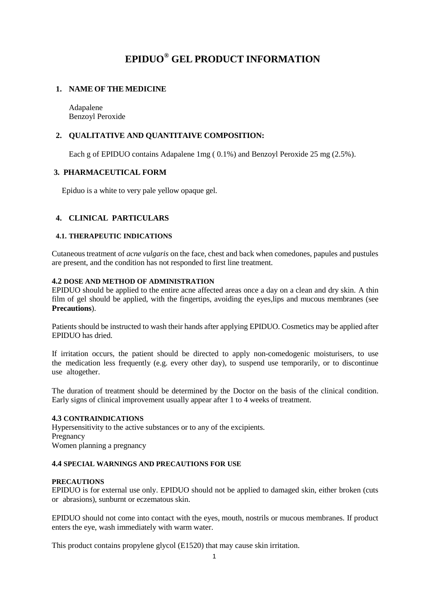# **EPIDUO® GEL PRODUCT INFORMATION**

# **1. NAME OF THE MEDICINE**

Adapalene Benzoyl Peroxide

# **2. QUALITATIVE AND QUANTITAIVE COMPOSITION:**

Each g of EPIDUO contains Adapalene 1mg ( 0.1%) and Benzoyl Peroxide 25 mg (2.5%).

# **3. PHARMACEUTICAL FORM**

Epiduo is a white to very pale yellow opaque gel.

# **4. CLINICAL PARTICULARS**

### **4.1. THERAPEUTIC INDICATIONS**

Cutaneous treatment of *acne vulgaris* on the face, chest and back when comedones, papules and pustules are present, and the condition has not responded to first line treatment.

### **4.2 DOSE AND METHOD OF ADMINISTRATION**

EPIDUO should be applied to the entire acne affected areas once a day on a clean and dry skin. A thin film of gel should be applied, with the fingertips, avoiding the eyes,lips and mucous membranes (see **Precautions**).

Patients should be instructed to wash their hands after applying EPIDUO. Cosmetics may be applied after EPIDUO has dried.

If irritation occurs, the patient should be directed to apply non-comedogenic moisturisers, to use the medication less frequently (e.g. every other day), to suspend use temporarily, or to discontinue use altogether.

The duration of treatment should be determined by the Doctor on the basis of the clinical condition. Early signs of clinical improvement usually appear after 1 to 4 weeks of treatment.

### **4.3 CONTRAINDICATIONS**

Hypersensitivity to the active substances or to any of the excipients. Pregnancy Women planning a pregnancy

### **4.4 SPECIAL WARNINGS AND PRECAUTIONS FOR USE**

### **PRECAUTIONS**

EPIDUO is for external use only. EPIDUO should not be applied to damaged skin, either broken (cuts or abrasions), sunburnt or eczematous skin.

EPIDUO should not come into contact with the eyes, mouth, nostrils or mucous membranes. If product enters the eye, wash immediately with warm water.

This product contains propylene glycol (E1520) that may cause skin irritation.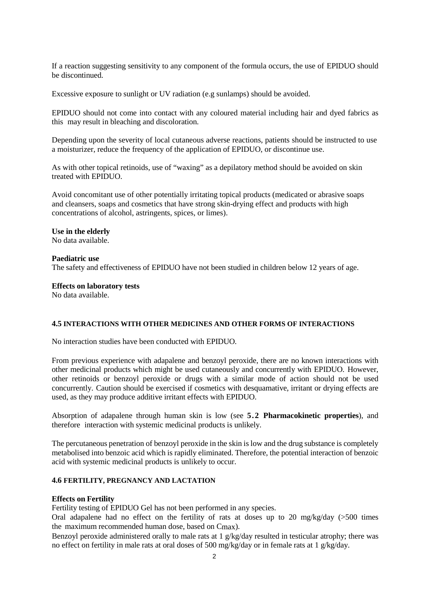If a reaction suggesting sensitivity to any component of the formula occurs, the use of EPIDUO should be discontinued.

Excessive exposure to sunlight or UV radiation (e.g sunlamps) should be avoided.

EPIDUO should not come into contact with any coloured material including hair and dyed fabrics as this may result in bleaching and discoloration.

Depending upon the severity of local cutaneous adverse reactions, patients should be instructed to use a moisturizer, reduce the frequency of the application of EPIDUO, or discontinue use.

As with other topical retinoids, use of "waxing" as a depilatory method should be avoided on skin treated with EPIDUO.

Avoid concomitant use of other potentially irritating topical products (medicated or abrasive soaps and cleansers, soaps and cosmetics that have strong skin-drying effect and products with high concentrations of alcohol, astringents, spices, or limes).

#### **Use in the elderly**

No data available.

#### **Paediatric use**

The safety and effectiveness of EPIDUO have not been studied in children below 12 years of age.

#### **Effects on laboratory tests**

No data available.

#### **4.5 INTERACTIONS WITH OTHER MEDICINES AND OTHER FORMS OF INTERACTIONS**

No interaction studies have been conducted with EPIDUO.

From previous experience with adapalene and benzoyl peroxide, there are no known interactions with other medicinal products which might be used cutaneously and concurrently with EPIDUO. However, other retinoids or benzoyl peroxide or drugs with a similar mode of action should not be used concurrently. Caution should be exercised if cosmetics with desquamative, irritant or drying effects are used, as they may produce additive irritant effects with EPIDUO.

Absorption of adapalene through human skin is low (see **5.2 Pharmacokinetic properties**), and therefore interaction with systemic medicinal products is unlikely.

The percutaneous penetration of benzoyl peroxide in the skin is low and the drug substance is completely metabolised into benzoic acid which is rapidly eliminated. Therefore, the potential interaction of benzoic acid with systemic medicinal products is unlikely to occur.

# **4.6 FERTILITY, PREGNANCY AND LACTATION**

#### **Effects on Fertility**

Fertility testing of EPIDUO Gel has not been performed in any species.

Oral adapalene had no effect on the fertility of rats at doses up to 20 mg/kg/day (>500 times the maximum recommended human dose, based on Cmax).

Benzoyl peroxide administered orally to male rats at 1 g/kg/day resulted in testicular atrophy; there was no effect on fertility in male rats at oral doses of 500 mg/kg/day or in female rats at 1 g/kg/day.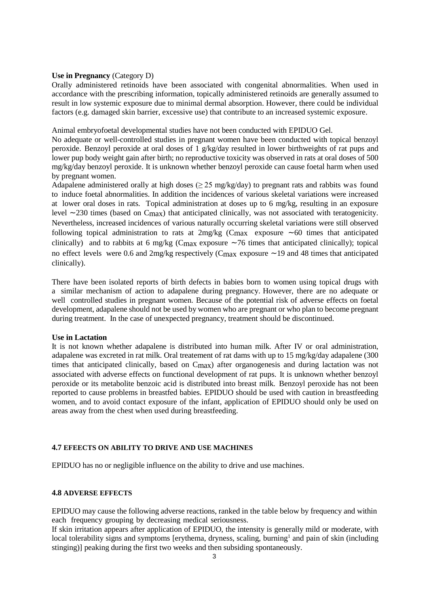### **Use in Pregnancy** (Category D)

Orally administered retinoids have been associated with congenital abnormalities. When used in accordance with the prescribing information, topically administered retinoids are generally assumed to result in low systemic exposure due to minimal dermal absorption. However, there could be individual factors (e.g. damaged skin barrier, excessive use) that contribute to an increased systemic exposure.

Animal embryofoetal developmental studies have not been conducted with EPIDUO Gel.

No adequate or well-controlled studies in pregnant women have been conducted with topical benzoyl peroxide. Benzoyl peroxide at oral doses of 1 g/kg/day resulted in lower birthweights of rat pups and lower pup body weight gain after birth; no reproductive toxicity was observed in rats at oral doses of 500 mg/kg/day benzoyl peroxide. It is unknown whether benzoyl peroxide can cause foetal harm when used by pregnant women.

Adapalene administered orally at high doses ( $\geq$  25 mg/kg/day) to pregnant rats and rabbits was found to induce foetal abnormalities. In addition the incidences of various skeletal variations were increased at lower oral doses in rats. Topical administration at doses up to 6 mg/kg, resulting in an exposure level ~230 times (based on Cmax) that anticipated clinically, was not associated with teratogenicity. Nevertheless, increased incidences of various naturally occurring skeletal variations were still observed following topical administration to rats at  $2mg/kg$  (Cmax exposure  $\sim 60$  times that anticipated clinically) and to rabbits at 6 mg/kg ( $C_{\text{max}}$  exposure  $\sim$  76 times that anticipated clinically); topical no effect levels were 0.6 and  $2mg/kg$  respectively (C<sub>max</sub> exposure  $\sim$  19 and 48 times that anticipated clinically).

There have been isolated reports of birth defects in babies born to women using topical drugs with a similar mechanism of action to adapalene during pregnancy. However, there are no adequate or well controlled studies in pregnant women. Because of the potential risk of adverse effects on foetal development, adapalene should not be used by women who are pregnant or who plan to become pregnant during treatment. In the case of unexpected pregnancy, treatment should be discontinued.

#### **Use in Lactation**

It is not known whether adapalene is distributed into human milk. After IV or oral administration, adapalene was excreted in rat milk. Oral treatement of rat dams with up to 15 mg/kg/day adapalene (300 times that anticipated clinically, based on Cmax) after organogenesis and during lactation was not associated with adverse effects on functional development of rat pups. It is unknown whether benzoyl peroxide or its metabolite benzoic acid is distributed into breast milk. Benzoyl peroxide has not been reported to cause problems in breastfed babies. EPIDUO should be used with caution in breastfeeding women, and to avoid contact exposure of the infant, application of EPIDUO should only be used on areas away from the chest when used during breastfeeding.

### **4.7 EFEECTS ON ABILITY TO DRIVE AND USE MACHINES**

EPIDUO has no or negligible influence on the ability to drive and use machines.

#### **4.8 ADVERSE EFFECTS**

EPIDUO may cause the following adverse reactions, ranked in the table below by frequency and within each frequency grouping by decreasing medical seriousness.

If skin irritation appears after application of EPIDUO, the intensity is generally mild or moderate, with local tolerability signs and symptoms [erythema, dryness, scaling, burning<sup>1</sup> and pain of skin (including stinging)] peaking during the first two weeks and then subsiding spontaneously.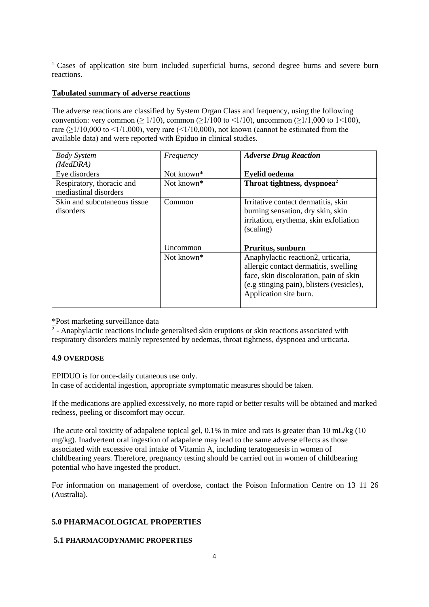<sup>1</sup> Cases of application site burn included superficial burns, second degree burns and severe burn reactions.

### **Tabulated summary of adverse reactions**

The adverse reactions are classified by System Organ Class and frequency, using the following convention: very common ( $\geq 1/10$ ), common ( $\geq 1/100$  to  $\leq 1/10$ ), uncommon ( $\geq 1/1,000$  to  $1 \leq 100$ ), rare ( $\geq$ 1/10,000 to <1/1,000), very rare (<1/10,000), not known (cannot be estimated from the available data) and were reported with Epiduo in clinical studies.

| <b>Body System</b><br>(MedDRA)                     | Frequency              | <b>Adverse Drug Reaction</b>                                                                                                                                                                 |
|----------------------------------------------------|------------------------|----------------------------------------------------------------------------------------------------------------------------------------------------------------------------------------------|
| Eye disorders                                      | Not known*             | <b>Eyelid oedema</b>                                                                                                                                                                         |
| Respiratory, thoracic and<br>mediastinal disorders | Not known*             | Throat tightness, dyspnoea <sup>2</sup>                                                                                                                                                      |
| Skin and subcutaneous tissue<br>disorders          | Common                 | Irritative contact dermatitis, skin<br>burning sensation, dry skin, skin<br>irritation, erythema, skin exfoliation<br>(scaling)                                                              |
|                                                    | Uncommon               | Pruritus, sunburn                                                                                                                                                                            |
|                                                    | Not known <sup>*</sup> | Anaphylactic reaction2, urticaria,<br>allergic contact dermatitis, swelling<br>face, skin discoloration, pain of skin<br>(e.g stinging pain), blisters (vesicles),<br>Application site burn. |

\*Post marketing surveillance data

 $\overline{2}$  - Anaphylactic reactions include generalised skin eruptions or skin reactions associated with respiratory disorders mainly represented by oedemas, throat tightness, dyspnoea and urticaria.

### **4.9 OVERDOSE**

EPIDUO is for once-daily cutaneous use only. In case of accidental ingestion, appropriate symptomatic measures should be taken.

If the medications are applied excessively, no more rapid or better results will be obtained and marked redness, peeling or discomfort may occur.

The acute oral toxicity of adapalene topical gel, 0.1% in mice and rats is greater than 10 mL/kg (10 mg/kg). Inadvertent oral ingestion of adapalene may lead to the same adverse effects as those associated with excessive oral intake of Vitamin A, including teratogenesis in women of childbearing years. Therefore, pregnancy testing should be carried out in women of childbearing potential who have ingested the product.

For information on management of overdose, contact the Poison Information Centre on 13 11 26 (Australia).

### **5.0 PHARMACOLOGICAL PROPERTIES**

### **5.1 PHARMACODYNAMIC PROPERTIES**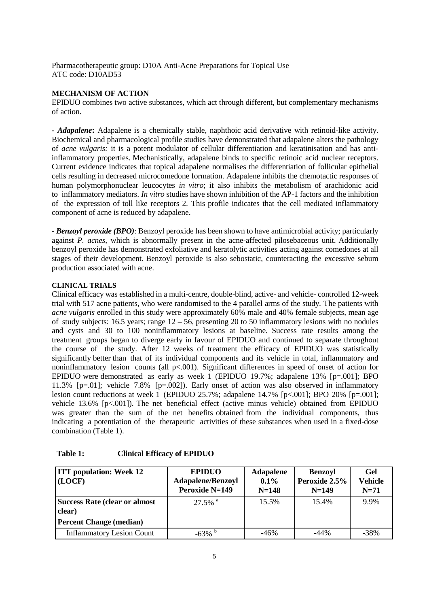Pharmacotherapeutic group: D10A Anti-Acne [Preparations](http://www.whocc.no/atcddd/indexdatabase/index.php?query=D10A) for Topical Use ATC code: D10AD53

### **MECHANISM OF ACTION**

EPIDUO combines two active substances, which act through different, but complementary mechanisms of action.

*- Adapalene***:** Adapalene is a chemically stable, naphthoic acid derivative with retinoid-like activity. Biochemical and pharmacological profile studies have demonstrated that adapalene alters the pathology of *acne vulgaris:* it is a potent modulator of cellular differentiation and keratinisation and has antiinflammatory properties. Mechanistically, adapalene binds to specific retinoic acid nuclear receptors. Current evidence indicates that topical adapalene normalises the differentiation of follicular epithelial cells resulting in decreased microcomedone formation. Adapalene inhibits the chemotactic responses of human polymorphonuclear leucocytes *in vitro*; it also inhibits the metabolism of arachidonic acid to inflammatory mediators. *In vitro* studies have shown inhibition of the AP-1 factors and the inhibition of the expression of toll like receptors 2. This profile indicates that the cell mediated inflammatory component of acne is reduced by adapalene.

**-** *Benzoyl peroxide (BPO)*: Benzoyl peroxide has been shown to have antimicrobial activity; particularly against *P. acnes*, which is abnormally present in the acne-affected pilosebaceous unit. Additionally benzoyl peroxide has demonstrated exfoliative and keratolytic activities acting against comedones at all stages of their development. Benzoyl peroxide is also sebostatic, counteracting the excessive sebum production associated with acne.

### **CLINICAL TRIALS**

Clinical efficacy was established in a multi-centre, double-blind, active- and vehicle- controlled 12-week trial with 517 acne patients, who were randomised to the 4 parallel arms of the study. The patients with *acne vulgaris* enrolled in this study were approximately 60% male and 40% female subjects, mean age of study subjects: 16.5 years; range 12 – 56, presenting 20 to 50 inflammatory lesions with no nodules and cysts and 30 to 100 noninflammatory lesions at baseline. Success rate results among the treatment groups began to diverge early in favour of EPIDUO and continued to separate throughout the course of the study. After 12 weeks of treatment the efficacy of EPIDUO was statistically significantly better than that of its individual components and its vehicle in total, inflammatory and noninflammatory lesion counts (all p<.001). Significant differences in speed of onset of action for EPIDUO were demonstrated as early as week 1 (EPIDUO 19.7%; adapalene 13% [p=.001]; BPO 11.3% [p=.01]; vehicle 7.8% [p=.002]). Early onset of action was also observed in inflammatory lesion count reductions at week 1 (EPIDUO 25.7%; adapalene 14.7% [p<.001]; BPO 20% [p=.001]; vehicle 13.6% [p<.001]). The net beneficial effect (active minus vehicle) obtained from EPIDUO was greater than the sum of the net benefits obtained from the individual components, thus indicating a potentiation of the therapeutic activities of these substances when used in a fixed-dose combination (Table 1).

| <b>ITT</b> population: Week 12<br>(LOCF)       | <b>EPIDUO</b><br><b>Adapalene/Benzoyl</b><br><b>Peroxide N=149</b> | <b>Adapalene</b><br>0.1%<br>$N = 148$ | <b>Benzoyl</b><br>Peroxide 2.5%<br>$N=149$ | Gel<br>Vehicle<br>$N=71$ |
|------------------------------------------------|--------------------------------------------------------------------|---------------------------------------|--------------------------------------------|--------------------------|
| <b>Success Rate (clear or almost</b><br>clear) | $27.5\%$ <sup>a</sup>                                              | 15.5%                                 | 15.4%                                      | 9.9%                     |
| <b>Percent Change (median)</b>                 |                                                                    |                                       |                                            |                          |
| <b>Inflammatory Lesion Count</b>               | $-63\%$ <sup>b</sup>                                               | $-46%$                                | $-44%$                                     | $-38%$                   |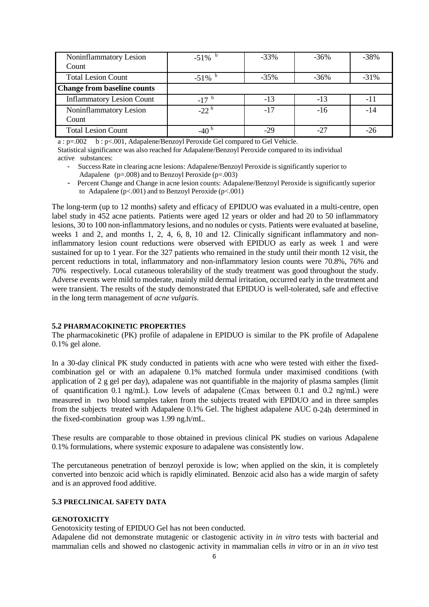| Noninflammatory Lesion             | $-51\%$   | $-33%$ | $-36\%$ | $-38%$  |
|------------------------------------|-----------|--------|---------|---------|
| Count                              |           |        |         |         |
| <b>Total Lesion Count</b>          | $-51\%$   | $-35%$ | $-36\%$ | $-31\%$ |
| <b>Change from baseline counts</b> |           |        |         |         |
| <b>Inflammatory Lesion Count</b>   | $-17$     | $-13$  | $-13$   | -11     |
| Noninflammatory Lesion             | $-22^{b}$ | $-17$  | $-16$   | $-14$   |
| Count                              |           |        |         |         |
| <b>Total Lesion Count</b>          |           | $-29$  | $-27$   | -26     |

a : p=.002 b : p<.001, Adapalene/Benzoyl Peroxide Gel compared to Gel Vehicle.

Statistical significance was also reached for Adapalene/Benzoyl Peroxide compared to its individual active substances:

- Success Rate in clearing acne lesions: Adapalene/Benzoyl Peroxide is significantly superior to Adapalene  $(p=.008)$  and to Benzoyl Peroxide  $(p=.003)$
- Percent Change and Change in acne lesion counts: Adapalene/Benzoyl Peroxide is significantly superior to Adapalene ( $p<.001$ ) and to Benzoyl Peroxide ( $p<.001$ )

The long-term (up to 12 months) safety and efficacy of EPIDUO was evaluated in a multi-centre, open label study in 452 acne patients. Patients were aged 12 years or older and had 20 to 50 inflammatory lesions, 30 to 100 non-inflammatory lesions, and no nodules or cysts. Patients were evaluated at baseline, weeks 1 and 2, and months 1, 2, 4, 6, 8, 10 and 12. Clinically significant inflammatory and noninflammatory lesion count reductions were observed with EPIDUO as early as week 1 and were sustained for up to 1 year. For the 327 patients who remained in the study until their month 12 visit, the percent reductions in total, inflammatory and non-inflammatory lesion counts were 70.8%, 76% and 70% respectively. Local cutaneous tolerability of the study treatment was good throughout the study. Adverse events were mild to moderate, mainly mild dermal irritation, occurred early in the treatment and were transient. The results of the study demonstrated that EPIDUO is well-tolerated, safe and effective in the long term management of *acne vulgaris*.

#### **5.2 PHARMACOKINETIC PROPERTIES**

The pharmacokinetic (PK) profile of adapalene in EPIDUO is similar to the PK profile of Adapalene 0.1% gel alone.

In a 30-day clinical PK study conducted in patients with acne who were tested with either the fixedcombination gel or with an adapalene 0.1% matched formula under maximised conditions (with application of 2 g gel per day), adapalene was not quantifiable in the majority of plasma samples (limit of quantification 0.1 ng/mL). Low levels of adapalene (Cmax between 0.1 and 0.2 ng/mL) were measured in two blood samples taken from the subjects treated with EPIDUO and in three samples from the subjects treated with Adapalene 0.1% Gel. The highest adapalene AUC 0-24h determined in the fixed-combination group was 1.99 ng.h/mL.

These results are comparable to those obtained in previous clinical PK studies on various Adapalene 0.1% formulations, where systemic exposure to adapalene was consistently low.

The percutaneous penetration of benzoyl peroxide is low; when applied on the skin, it is completely converted into benzoic acid which is rapidly eliminated. Benzoic acid also has a wide margin of safety and is an approved food additive.

#### **5.3 PRECLINICAL SAFETY DATA**

#### **GENOTOXICITY**

Genotoxicity testing of EPIDUO Gel has not been conducted.

Adapalene did not demonstrate mutagenic or clastogenic activity in *in vitro* tests with bacterial and mammalian cells and showed no clastogenic activity in mammalian cells *in vitro* or in an *in vivo* test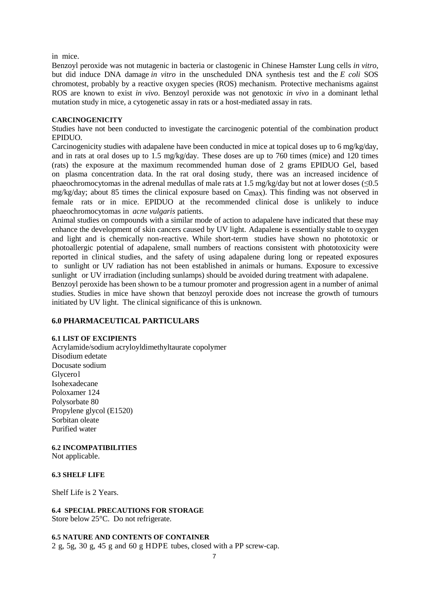in mice.

Benzoyl peroxide was not mutagenic in bacteria or clastogenic in Chinese Hamster Lung cells *in vitro*, but did induce DNA damage *in vitro* in the unscheduled DNA synthesis test and the *E coli* SOS chromotest, probably by a reactive oxygen species (ROS) mechanism. Protective mechanisms against ROS are known to exist *in vivo*. Benzoyl peroxide was not genotoxic *in vivo* in a dominant lethal mutation study in mice, a cytogenetic assay in rats or a host-mediated assay in rats.

#### **CARCINOGENICITY**

Studies have not been conducted to investigate the carcinogenic potential of the combination product EPIDUO.

Carcinogenicity studies with adapalene have been conducted in mice at topical doses up to 6 mg/kg/day, and in rats at oral doses up to 1.5 mg/kg/day. These doses are up to 760 times (mice) and 120 times (rats) the exposure at the maximum recommended human dose of 2 grams EPIDUO Gel, based on plasma concentration data. In the rat oral dosing study, there was an increased incidence of phaeochromocytomas in the adrenal medullas of male rats at 1.5 mg/kg/day but not at lower doses ( $\leq 0.5$ ) mg/kg/day; about 85 times the clinical exposure based on Cmax). This finding was not observed in female rats or in mice. EPIDUO at the recommended clinical dose is unlikely to induce phaeochromocytomas in *acne vulgaris* patients.

Animal studies on compounds with a similar mode of action to adapalene have indicated that these may enhance the development of skin cancers caused by UV light. Adapalene is essentially stable to oxygen and light and is chemically non-reactive. While short-term studies have shown no phototoxic or photoallergic potential of adapalene, small numbers of reactions consistent with phototoxicity were reported in clinical studies, and the safety of using adapalene during long or repeated exposures to sunlight or UV radiation has not been established in animals or humans. Exposure to excessive sunlight or UV irradiation (including sunlamps) should be avoided during treatment with adapalene.

Benzoyl peroxide has been shown to be a tumour promoter and progression agent in a number of animal studies. Studies in mice have shown that benzoyl peroxide does not increase the growth of tumours initiated by UV light. The clinical significance of this is unknown.

#### **6.0 PHARMACEUTICAL PARTICULARS**

#### **6.1 LIST OF EXCIPIENTS**

Acrylamide/sodium acryloyldimethyltaurate copolymer Disodium edetate Docusate sodium Glycerol Isohexadecane Poloxamer 124 Polysorbate 80 Propylene glycol (E1520) Sorbitan oleate Purified water

### **6.2 INCOMPATIBILITIES**

Not applicable.

#### **6.3 SHELF LIFE**

Shelf Life is 2 Years.

#### **6.4 SPECIAL PRECAUTIONS FOR STORAGE**

Store below 25°C. Do not refrigerate.

#### **6.5 NATURE AND CONTENTS OF CONTAINER**

2 g, 5g, 30 g, 45 g and 60 g HDPE tubes, closed with a PP screw-cap.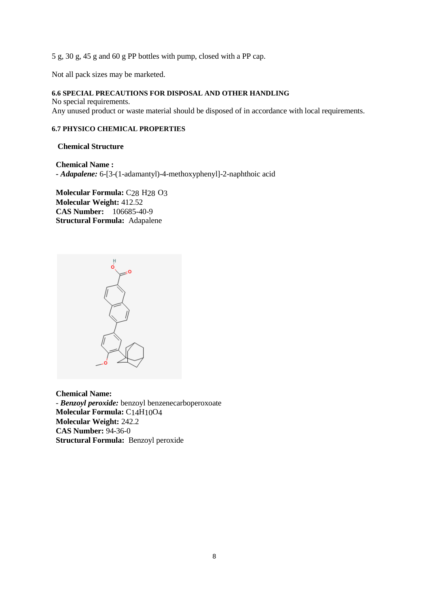5 g, 30 g, 45 g and 60 g PP bottles with pump, closed with a PP cap.

Not all pack sizes may be marketed.

### **6.6 SPECIAL PRECAUTIONS FOR DISPOSAL AND OTHER HANDLING**

No special requirements. Any unused product or waste material should be disposed of in accordance with local requirements.

# **6.7 PHYSICO CHEMICAL PROPERTIES**

 **Chemical Structure**

**Chemical Name : -** *Adapalene:* 6-[3-(1-adamantyl)-4-methoxyphenyl]-2-naphthoic acid

**Molecular Formula:** C28 H28 O3 **Molecular Weight:** 412.52 **CAS Number:** 106685-40-9 **Structural Formula:** Adapalene



**Chemical Name:** - *Benzoyl peroxide:* benzoyl benzenecarboperoxoate **Molecular Formula:** C14H10O4 **Molecular Weight:** 242.2 **CAS Number:** 94-36-0 **Structural Formula:** Benzoyl peroxide